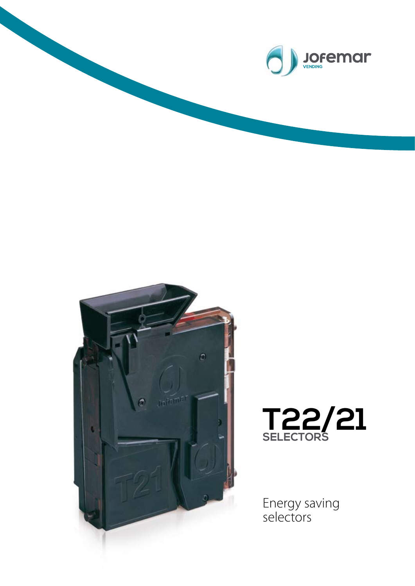



## **T22/21 SELECTORS**

Energy saving selectors